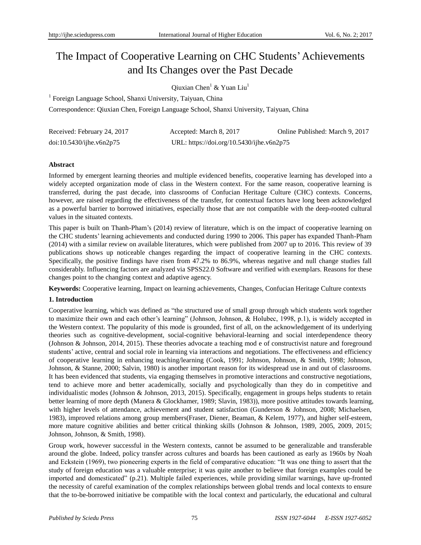# The Impact of Cooperative Learning on CHC Students'Achievements and Its Changes over the Past Decade

Qiuxian Chen<sup>1</sup> & Yuan Liu<sup>1</sup>

<sup>1</sup> Foreign Language School, Shanxi University, Taiyuan, China

Correspondence: Qiuxian Chen, Foreign Language School, Shanxi University, Taiyuan, China

| Received: February 24, 2017 | Accepted: March 8, 2017                   | Online Published: March 9, 2017 |
|-----------------------------|-------------------------------------------|---------------------------------|
| doi:10.5430/jhe.v6n2p75     | URL: https://doi.org/10.5430/ijhe.v6n2p75 |                                 |

# **Abstract**

Informed by emergent learning theories and multiple evidenced benefits, cooperative learning has developed into a widely accepted organization mode of class in the Western context. For the same reason, cooperative learning is transferred, during the past decade, into classrooms of Confucian Heritage Culture (CHC) contexts. Concerns, however, are raised regarding the effectiveness of the transfer, for contextual factors have long been acknowledged as a powerful barrier to borrowed initiatives, especially those that are not compatible with the deep-rooted cultural values in the situated contexts.

This paper is built on Thanh-Pham's (2014) review of literature, which is on the impact of cooperative learning on the CHC students' learning achievements and conducted during 1990 to 2006. This paper has expanded Thanh-Pham (2014) with a similar review on available literatures, which were published from 2007 up to 2016. This review of 39 publications shows up noticeable changes regarding the impact of cooperative learning in the CHC contexts. Specifically, the positive findings have risen from 47.2% to 86.9%, whereas negative and null change studies fall considerably. Influencing factors are analyzed via SPSS22.0 Software and verified with exemplars. Reasons for these changes point to the changing context and adaptive agency.

**Keywords:** Cooperative learning, Impact on learning achievements, Changes, Confucian Heritage Culture contexts

# **1. Introduction**

Cooperative learning, which was defined as "the structured use of small group through which students work together to maximize their own and each other's learning" (Johnson, Johnson, & Holubec, 1998, p.1), is widely accepted in the Western context. The popularity of this mode is grounded, first of all, on the acknowledgement of its underlying theories such as cognitive-development, social-cognitive behavioral-learning and social interdependence theory (Johnson & Johnson, 2014, 2015). These theories advocate a teaching mod e of constructivist nature and foreground students' active, central and social role in learning via interactions and negotiations. The effectiveness and efficiency of cooperative learning in enhancing teaching/learning (Cook, 1991; Johnson, Johnson, & Smith, 1998; Johnson, Johnson, & Stanne, 2000; Salvin, 1980) is another important reason for its widespread use in and out of classrooms. It has been evidenced that students, via engaging themselves in promotive interactions and constructive negotiations, tend to achieve more and better academically, socially and psychologically than they do in competitive and individualistic modes (Johnson & Johnson, 2013, 2015). Specifically, engagement in groups helps students to retain better learning of more depth (Manera & Glockhamer, 1989; Slavin, 1983)), more positive attitudes towards learning, with higher levels of attendance, achievement and student satisfaction (Gunderson & Johnson, 2008; Michaelsen, 1983), improved relations among group members(Fraser, Diener, Beaman, & Kelem, 1977), and higher self-esteem, more mature cognitive abilities and better critical thinking skills (Johnson & Johnson, 1989, 2005, 2009, 2015; Johnson, Johnson, & Smith, 1998).

Group work, however successful in the Western contexts, cannot be assumed to be generalizable and transferable around the globe. Indeed, policy transfer across cultures and boards has been cautioned as early as 1960s by Noah and Eckstein (1969), two pioneering experts in the field of comparative education: "It was one thing to assert that the study of foreign education was a valuable enterprise; it was quite another to believe that foreign examples could be imported and domesticated" (p.21). Multiple failed experiences, while providing similar warnings, have up-fronted the necessity of careful examination of the complex relationships between global trends and local contexts to ensure that the to-be-borrowed initiative be compatible with the local context and particularly, the educational and cultural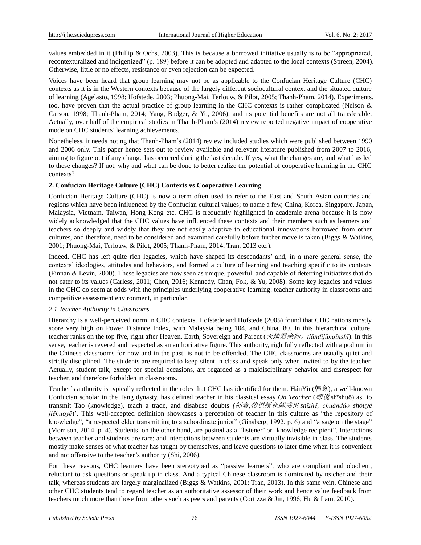values embedded in it (Phillip & Ochs, 2003). This is because a borrowed initiative usually is to be "appropriated, recontexturalized and indigenized" (p. 189) before it can be adopted and adapted to the local contexts (Spreen, 2004). Otherwise, little or no effects, resistance or even rejection can be expected.

Voices have been heard that group learning may not be as applicable to the Confucian Heritage Culture (CHC) contexts as it is in the Western contexts because of the largely different sociocultural context and the situated culture of learning (Agelasto, 1998; Hofstede, 2003; Phuong-Mai, Terlouw, & Pilot, 2005; Thanh-Pham, 2014). Experiments, too, have proven that the actual practice of group learning in the CHC contexts is rather complicated (Nelson & Carson, 1998; Thanh-Pham, 2014; Yang, Badger, & Yu, 2006), and its potential benefits are not all transferable. Actually, over half of the empirical studies in Thanh-Pham's (2014) review reported negative impact of cooperative mode on CHC students' learning achievements.

Nonetheless, it needs noting that Thanh-Pham's (2014) review included studies which were published between 1990 and 2006 only. This paper hence sets out to review available and relevant literature published from 2007 to 2016, aiming to figure out if any change has occurred during the last decade. If yes, what the changes are, and what has led to these changes? If not, why and what can be done to better realize the potential of cooperative learning in the CHC contexts?

# **2. Confucian Heritage Culture (CHC) Contexts vs Cooperative Learning**

Confucian Heritage Culture (CHC) is now a term often used to refer to the East and South Asian countries and regions which have been influenced by the Confucian cultural values; to name a few, China, Korea, Singapore, Japan, Malaysia, Vietnam, Taiwan, Hong Kong etc. CHC is frequently highlighted in academic arena because it is now widely acknowledged that the CHC values have influenced these contexts and their members such as learners and teachers so deeply and widely that they are not easily adaptive to educational innovations borrowed from other cultures, and therefore, need to be considered and examined carefully before further move is taken (Biggs & Watkins, 2001; Phuong-Mai, Terlouw, & Pilot, 2005; Thanh-Pham, 2014; Tran, 2013 etc.).

Indeed, CHC has left quite rich legacies, which have shaped its descendants' and, in a more general sense, the contexts' ideologies, attitudes and behaviors, and formed a culture of learning and teaching specific to its contexts (Finnan & Levin, 2000). These legacies are now seen as unique, powerful, and capable of deterring initiatives that do not cater to its values (Carless, 2011; Chen, 2016; Kennedy, Chan, Fok, & Yu, 2008). Some key legacies and values in the CHC do seem at odds with the principles underlying cooperative learning: teacher authority in classrooms and competitive assessment environment, in particular.

# *2.1 Teacher Authority in Classrooms*

Hierarchy is a well-perceived norm in CHC contexts. Hofstede and Hofstede (2005) found that CHC nations mostly score very high on Power Distance Index, with Malaysia being 104, and China, 80. In this hierarchical culture, teacher ranks on the top five, right after Heaven, Earth, Sovereign and Parent (天地君亲师,*tiāndìjūnqīnshī*). In this sense, teacher is revered and respected as an authoritative figure. This authority, rightfully reflected with a podium in the Chinese classrooms for now and in the past, is not to be offended. The CHC classrooms are usually quiet and strictly disciplined. The students are required to keep silent in class and speak only when invited to by the teacher. Actually, student talk, except for special occasions, are regarded as a maldisciplinary behavior and disrespect for teacher, and therefore forbidden in classrooms.

Teacher's authority is typically reflected in the roles that CHC has identified for them. H  $\hat{a}Y\hat{u}$  (韩愈), a well-known Confucian scholar in the Tang dynasty, has defined teacher in his classical essay *On Teacher* (师说 shīshuō) as 'to transmit Tao (knowledge), teach a trade, and disabuse doubts *(*师者*,*传道授业解惑也 *shīzhĕ, chuándào shòuyè jiĕhuòyĕ*)'. This well-accepted definition showcases a perception of teacher in this culture as "the repository of knowledge", "a respected elder transmitting to a subordinate junior" (Ginsberg, 1992, p. 6) and "a sage on the stage" (Morrison, 2014, p. 4). Students, on the other hand, are posited as a "listener' or 'knowledge recipient". Interactions between teacher and students are rare; and interactions between students are virtually invisible in class. The students mostly make senses of what teacher has taught by themselves, and leave questions to later time when it is convenient and not offensive to the teacher's authority (Shi, 2006).

For these reasons, CHC learners have been stereotyped as "passive learners", who are compliant and obedient, reluctant to ask questions or speak up in class. And a typical Chinese classroom is dominated by teacher and their talk, whereas students are largely marginalized (Biggs & Watkins, 2001; Tran, 2013). In this same vein, Chinese and other CHC students tend to regard teacher as an authoritative assessor of their work and hence value feedback from teachers much more than those from others such as peers and parents (Cortizza & Jin, 1996; Hu & Lam, 2010).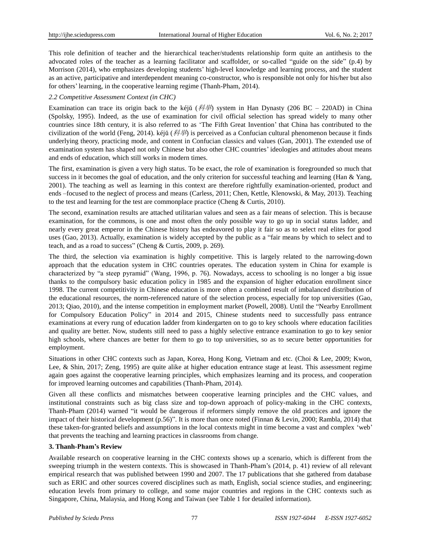This role definition of teacher and the hierarchical teacher/students relationship form quite an antithesis to the advocated roles of the teacher as a learning facilitator and scaffolder, or so-called "guide on the side" (p.4) by Morrison (2014), who emphasizes developing students' high-level knowledge and learning process, and the student as an active, participative and interdependent meaning co-constructor, who is responsible not only for his/her but also for others' learning, in the cooperative learning regime (Thanh-Pham, 2014).

#### *2.2 Competitive Assessment Context (in CHC)*

Examination can trace its origin back to the ketu  $(\cancel{N}\ddot{\#})$  system in Han Dynasty (206 BC – 220AD) in China (Spolsky, 1995). Indeed, as the use of examination for civil official selection has spread widely to many other countries since 18th century, it is also referred to as 'The Fifth Great Invention' that China has contributed to the civilization of the world (Feng, 2014). kejŭ (科举) is perceived as a Confucian cultural phenomenon because it finds underlying theory, practicing mode, and content in Confucian classics and values (Gan, 2001). The extended use of examination system has shaped not only Chinese but also other CHC countries' ideologies and attitudes about means and ends of education, which still works in modern times.

The first, examination is given a very high status. To be exact, the role of examination is foregrounded so much that success in it becomes the goal of education, and the only criterion for successful teaching and learning (Han & Yang, 2001). The teaching as well as learning in this context are therefore rightfully examination-oriented, product and ends –focused to the neglect of process and means (Carless, 2011; Chen, Kettle, Klenowski, & May, 2013). Teaching to the test and learning for the test are commonplace practice (Cheng & Curtis, 2010).

The second, examination results are attached utilitarian values and seen as a fair means of selection. This is because examination, for the commons, is one and most often the only possible way to go up in social status ladder, and nearly every great emperor in the Chinese history has endeavored to play it fair so as to select real elites for good uses (Gao, 2013). Actually, examination is widely accepted by the public as a "fair means by which to select and to teach, and as a road to success" (Cheng & Curtis, 2009, p. 269).

The third, the selection via examination is highly competitive. This is largely related to the narrowing-down approach that the education system in CHC countries operates. The education system in China for example is characterized by "a steep pyramid" (Wang, 1996, p. 76). Nowadays, access to schooling is no longer a big issue thanks to the compulsory basic education policy in 1985 and the expansion of higher education enrollment since 1998. The current competitivity in Chinese education is more often a combined result of imbalanced distribution of the educational resources, the norm-referenced nature of the selection process, especially for top universities (Gao, 2013; Qiao, 2010), and the intense competition in employment market (Powell, 2008). Until the "Nearby Enrollment for Compulsory Education Policy" in 2014 and 2015, Chinese students need to successfully pass entrance examinations at every rung of education ladder from kindergarten on to go to key schools where education facilities and quality are better. Now, students still need to pass a highly selective entrance examination to go to key senior high schools, where chances are better for them to go to top universities, so as to secure better opportunities for employment.

Situations in other CHC contexts such as Japan, Korea, Hong Kong, Vietnam and etc. (Choi & Lee, 2009; Kwon, Lee, & Shin, 2017; Zeng, 1995) are quite alike at higher education entrance stage at least. This assessment regime again goes against the cooperative learning principles, which emphasizes learning and its process, and cooperation for improved learning outcomes and capabilities (Thanh-Pham, 2014).

Given all these conflicts and mismatches between cooperative learning principles and the CHC values, and institutional constraints such as big class size and top-down approach of policy-making in the CHC contexts, Thanh-Pham (2014) warned "it would be dangerous if reformers simply remove the old practices and ignore the impact of their historical development (p.56)". It is more than once noted (Finnan & Levin, 2000; Rambla, 2014) that these taken-for-granted beliefs and assumptions in the local contexts might in time become a vast and complex 'web' that prevents the teaching and learning practices in classrooms from change.

# **3. Thanh-Pham's Review**

Available research on cooperative learning in the CHC contexts shows up a scenario, which is different from the sweeping triumph in the western contexts. This is showcased in Thanh-Pham's (2014, p. 41) review of all relevant empirical research that was published between 1990 and 2007. The 17 publications that she gathered from database such as ERIC and other sources covered disciplines such as math, English, social science studies, and engineering; education levels from primary to college, and some major countries and regions in the CHC contexts such as Singapore, China, Malaysia, and Hong Kong and Taiwan (see Table 1 for detailed information).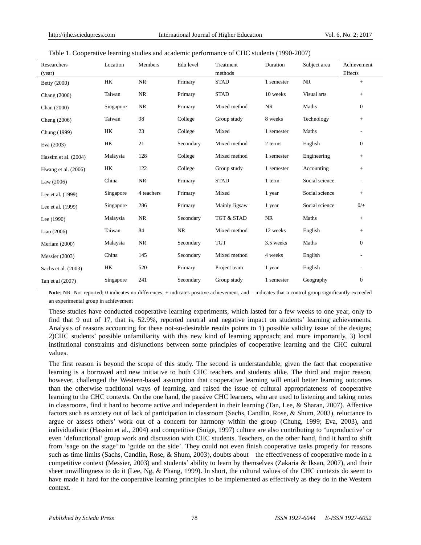|  |  |  |  | Table 1. Cooperative learning studies and academic performance of CHC students (1990-2007) |  |  |
|--|--|--|--|--------------------------------------------------------------------------------------------|--|--|
|--|--|--|--|--------------------------------------------------------------------------------------------|--|--|

| Researchers           | Location  | Members    | Edu level | Treatment     | Duration   | Subject area   | Achievement     |
|-----------------------|-----------|------------|-----------|---------------|------------|----------------|-----------------|
| (year)                |           |            |           | methods       |            |                | Effects         |
| Betty (2000)          | HK        | NR         | Primary   | <b>STAD</b>   | 1 semester | NR             | $+$             |
| Chang (2006)          | Taiwan    | NR         | Primary   | <b>STAD</b>   | 10 weeks   | Visual arts    | $^{+}$          |
| Chan $(2000)$         | Singapore | <b>NR</b>  | Primary   | Mixed method  | <b>NR</b>  | Maths          | $\mathbf{0}$    |
| Cheng (2006)          | Taiwan    | 98         | College   | Group study   | 8 weeks    | Technology     | $\! + \!\!\!\!$ |
| Chung (1999)          | HK        | 23         | College   | Mixed         | 1 semester | Maths          |                 |
| Eva (2003)            | HK        | 21         | Secondary | Mixed method  | 2 terms    | English        | $\mathbf{0}$    |
| Hassim et al. (2004)  | Malaysia  | 128        | College   | Mixed method  | 1 semester | Engineering    | $^{+}$          |
| Hwang et al. $(2006)$ | HK        | 122        | College   | Group study   | 1 semester | Accounting     | $^{+}$          |
| Law $(2006)$          | China     | NR         | Primary   | <b>STAD</b>   | 1 term     | Social science |                 |
| Lee et al. (1999)     | Singapore | 4 teachers | Primary   | Mixed         | 1 year     | Social science | $^{+}$          |
| Lee et al. (1999)     | Singapore | 286        | Primary   | Mainly Jigsaw | 1 year     | Social science | $0/+$           |
| Lee $(1990)$          | Malaysia  | <b>NR</b>  | Secondary | TGT & STAD    | $\rm NR$   | Maths          | $^{+}$          |
| Liao $(2006)$         | Taiwan    | 84         | NR        | Mixed method  | 12 weeks   | English        | $^{+}$          |
| Meriam (2000)         | Malaysia  | <b>NR</b>  | Secondary | <b>TGT</b>    | 3.5 weeks  | Maths          | $\mathbf{0}$    |
| Messier $(2003)$      | China     | 145        | Secondary | Mixed method  | 4 weeks    | English        |                 |
| Sachs et al. (2003)   | HK        | 520        | Primary   | Project team  | 1 year     | English        |                 |
| Tan et al (2007)      | Singapore | 241        | Secondary | Group study   | 1 semester | Geography      | $\mathbf{0}$    |

**Note**: NR=Not reported; 0 indicates no differences, + indicates positive achievement, and – indicates that a control group significantly exceeded an experimental group in achievement

These studies have conducted cooperative learning experiments, which lasted for a few weeks to one year, only to find that 9 out of 17, that is, 52.9%, reported neutral and negative impact on students' learning achievements. Analysis of reasons accounting for these not-so-desirable results points to 1) possible validity issue of the designs; 2)CHC students' possible unfamiliarity with this new kind of learning approach; and more importantly, 3) local institutional constraints and disjunctions between some principles of cooperative learning and the CHC cultural values.

The first reason is beyond the scope of this study. The second is understandable, given the fact that cooperative learning is a borrowed and new initiative to both CHC teachers and students alike. The third and major reason, however, challenged the Western-based assumption that cooperative learning will entail better learning outcomes than the otherwise traditional ways of learning, and raised the issue of cultural appropriateness of cooperative learning to the CHC contexts. On the one hand, the passive CHC learners, who are used to listening and taking notes in classrooms, find it hard to become active and independent in their learning (Tan, Lee, & Sharan, 2007). Affective factors such as anxiety out of lack of participation in classroom (Sachs, Candlin, Rose, & Shum, 2003), reluctance to argue or assess others' work out of a concern for harmony within the group (Chung, 1999; Eva, 2003), and individualistic (Hassim et al., 2004) and competitive (Suige, 1997) culture are also contributing to 'unproductive' or even 'defunctional' group work and discussion with CHC students. Teachers, on the other hand, find it hard to shift from 'sage on the stage' to 'guide on the side'. They could not even finish cooperative tasks properly for reasons such as time limits (Sachs, Candlin, Rose, & Shum, 2003), doubts about the effectiveness of cooperative mode in a competitive context (Messier, 2003) and students' ability to learn by themselves (Zakaria & Iksan, 2007), and their sheer unwillingness to do it (Lee, Ng, & Phang, 1999). In short, the cultural values of the CHC contexts do seem to have made it hard for the cooperative learning principles to be implemented as effectively as they do in the Western context.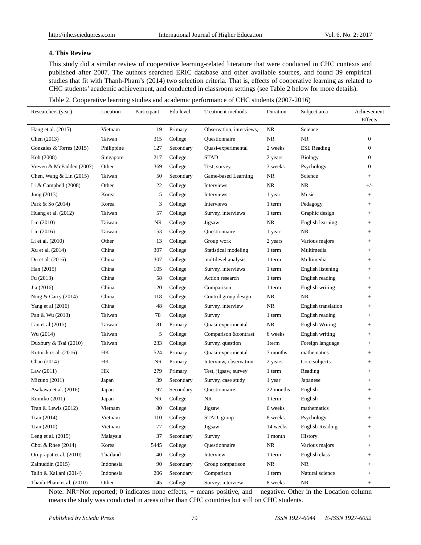#### **4. This Review**

This study did a similar review of cooperative learning-related literature that were conducted in CHC contexts and published after 2007. The authors searched ERIC database and other available sources, and found 39 empirical studies that fit with Thanh-Pham's (2014) two selection criteria. That is, effects of cooperative learning as related to CHC students' academic achievement, and conducted in classroom settings (see Table 2 below for more details).

Table 2. Cooperative learning studies and academic performance of CHC students (2007-2016)

| Researchers (year)        | Location   | Participant | Edu level                | Treatment methods        | Duration          | Subject area           | Achievement<br>Effects |
|---------------------------|------------|-------------|--------------------------|--------------------------|-------------------|------------------------|------------------------|
| Hang et al. (2015)        | Vietnam    | 19          | Primary                  | Observation, interviews, | <b>NR</b>         | Science                |                        |
| Chen (2013)               | Taiwan     | 315         | College                  | Questionnaire            | <b>NR</b>         | NR                     | $\boldsymbol{0}$       |
| Gonzales & Torres (2015)  | Philippine | 127         | Secondary                | Quasi-experimental       | 2 weeks           | <b>ESL Reading</b>     | $\boldsymbol{0}$       |
| Koh (2008)                | Singapore  | 217         | College                  | <b>STAD</b>              | 2 years           | <b>Biology</b>         | $\boldsymbol{0}$       |
| Vreven & McFadden (2007)  | Other      | 369         | College                  | Test, survey             | 3 weeks           | Psychology             | $\boldsymbol{0}$       |
| Chen, Wang & Lin $(2015)$ | Taiwan     | 50          | Secondary                | Game-based Learning      | NR                | Science                | $^{+}$                 |
| Li & Campbell $(2008)$    | Other      | 22          | College                  | Interviews               | <b>NR</b>         | <b>NR</b>              | $+/-$                  |
| Jung (2013)               | Korea      | 5           | College                  | Interviews               | 1 year            | Music                  | $\qquad \qquad +$      |
| Park & So (2014)          | Korea      | 3           | College                  | Interviews               | 1 term            | Pedagogy               | $^{+}$                 |
| Huang et al. (2012)       | Taiwan     | 57          | College                  | Survey, interviews       | 1 term            | Graphic design         | $^{+}$                 |
| Lin (2010)                | Taiwan     | NR          | College                  | Jigsaw                   | <b>NR</b>         | English learning       | $^{+}$                 |
| Liu $(2016)$              | Taiwan     | 153         | College                  | Questionnaire            | 1 year            | NR                     | $^{+}$                 |
| Li et al. (2010)          | Other      | 13          | College                  | Group work               | 2 years           | Various majors         |                        |
| Xu et al. (2014)          | China      | 307         | College                  | Statistical modeling     | 1 term            | Multimedia             | $^{+}$<br>$^{+}$       |
| Du et al. (2016)          | China      |             |                          |                          | 1 term            | Multimedia             |                        |
|                           | China      | 307         | College                  | multilevel analysis      | 1 term            | English listening      | $^{+}$                 |
| Han $(2015)$              |            | 105         | College                  | Survey, interviews       |                   |                        | $^{+}$                 |
| Fu (2013)                 | China      | 58          | College                  | Action research          | 1 term            | English reading        | $\! + \!\!\!\!$        |
| Jia (2016)                | China      | 120         | College                  | Comparison               | 1 term            | English writing        | $^{+}$                 |
| Ning & Carry (2014)       | China      | 118         | College                  | Control group design     | <b>NR</b>         | <b>NR</b>              | $^{+}$                 |
| Yang et al $(2016)$       | China      | 48          | College                  | Survey, interview        | <b>NR</b>         | English translation    | $^{+}$                 |
| Pan & Wu (2013)           | Taiwan     | 78          | College                  | Survey                   | 1 term            | English reading        | $\! + \!\!\!\!$        |
| Lan et al $(2015)$        | Taiwan     | 81          | Primary                  | Quasi-experimental       | <b>NR</b>         | <b>English Writing</b> | $^{+}$                 |
| Wu (2014)                 | Taiwan     | 5           | College                  | Comparison &contrast     | 6 weeks           | English writing        | $^{+}$                 |
| Duxbury & Tsai (2010)     | Taiwan     | 233         | College                  | Survey, question         | 1 <sub>term</sub> | Foreign language       | $^{+}$                 |
| Kutnick et al. (2016)     | HK         | 524         | Primary                  | Quasi-experimental       | 7 months          | mathematics            | $^{+}$                 |
| Chan (2014)               | HK         | NR.         | Primary                  | Interview, observation   | 2 years           | Core subjects          | $^{+}$                 |
| Law $(2011)$              | HK         | 279         | Primary                  | Test, jigsaw, survey     | 1 term            | Reading                | $^{+}$                 |
| Mizuno $(2011)$           | Japan      | 39          | Secondary                | Survey, case study       | 1 year            | Japanese               | $^{+}$                 |
| Asakawa et al. (2016)     | Japan      | 97          | Secondary                | Questionnaire            | 22 months         | English                | $^{+}$                 |
| Kumiko (2011)             | Japan      | $\rm NR$    | College                  | NR                       | 1 term            | English                | $^{+}$                 |
| Tran $&$ Lewis (2012)     | Vietnam    | 80          | College                  | Jigsaw                   | 6 weeks           | mathematics            | $^{+}$                 |
| Tran (2014)               | Vietnam    | 110         | $\operatorname{College}$ | STAD, group              | 8 weeks           | Psychology             | $^{+}$                 |
| Tran (2010)               | Vietnam    | 77          | College                  | Jigsaw                   | 14 weeks          | <b>English Reading</b> | $\! + \!\!\!\!$        |
| Leng et al. (2015)        | Malaysia   | 37          | Secondary                | Survey                   | 1 month           | History                | $^{+}$                 |
| Choi & Rhee (2014)        | Korea      | 5445        | College                  | Questionnaire            | <b>NR</b>         | Various majors         | $^{+}$                 |
| Ornprapat et al. (2010)   | Thailand   | 40          | College                  | Interview                | 1 term            | English class          | $^{+}$                 |
| Zainuddin (2015)          | Indonesia  | 90          | Secondary                | Group comparison         | $\rm NR$          | NR                     | $\! + \!\!\!\!$        |
| Talib & Kailani (2014)    | Indonesia  | 206         | Secondary                | Comparison               | 1 term            | Natural science        | $^{+}$                 |
| Thanh-Pham et al. (2010)  | Other      | 145         | College                  | Survey, interview        | 8 weeks           | NR                     | $^{+}$                 |

Note: NR=Not reported; 0 indicates none effects, + means positive, and – negative. Other in the Location column means the study was conducted in areas other than CHC countries but still on CHC students.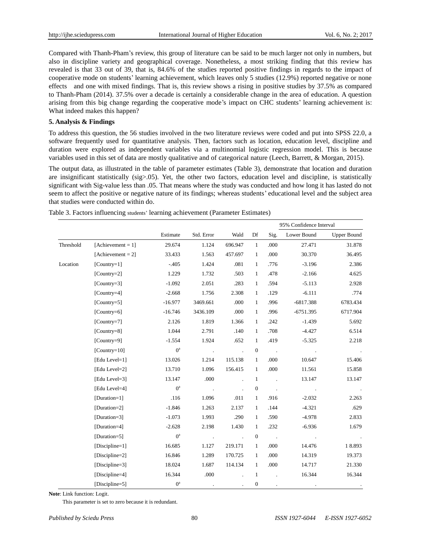Compared with Thanh-Pham's review, this group of literature can be said to be much larger not only in numbers, but also in discipline variety and geographical coverage. Nonetheless, a most striking finding that this review has revealed is that 33 out of 39, that is, 84.6% of the studies reported positive findings in regards to the impact of cooperative mode on students' learning achievement, which leaves only 5 studies (12.9%) reported negative or none effects and one with mixed findings. That is, this review shows a rising in positive studies by 37.5% as compared to Thanh-Pham (2014). 37.5% over a decade is certainly a considerable change in the area of education. A question arising from this big change regarding the cooperative mode's impact on CHC students' learning achievement is: What indeed makes this happen?

#### **5. Analysis & Findings**

To address this question, the 56 studies involved in the two literature reviews were coded and put into SPSS 22.0, a software frequently used for quantitative analysis. Then, factors such as location, education level, discipline and duration were explored as independent variables via a multinomial logistic regression model. This is because variables used in this set of data are mostly qualitative and of categorical nature (Leech, Barrett, & Morgan, 2015).

The output data, as illustrated in the table of parameter estimates (Table 3), demonstrate that location and duration are insignificant statistically (sig>.05). Yet, the other two factors, education level and discipline, is statistically significant with Sig-value less than .05. That means where the study was conducted and how long it has lasted do not seem to affect the positive or negative nature of its findings; whereas students' educational level and the subject area that studies were conducted within do.

|  |  | Table 3. Factors influencing students' learning achievement (Parameter Estimates) |  |
|--|--|-----------------------------------------------------------------------------------|--|
|  |  |                                                                                   |  |

|           |                      |           |                      |                      |                  |           | 95% Confidence Interval |                    |
|-----------|----------------------|-----------|----------------------|----------------------|------------------|-----------|-------------------------|--------------------|
|           |                      | Estimate  | Std. Error           | Wald                 | Df               | Sig.      | Lower Bound             | <b>Upper Bound</b> |
| Threshold | [Achievement = $1$ ] | 29.674    | 1.124                | 696.947              | 1                | .000      | 27.471                  | 31.878             |
|           | [Achievement = $2$ ] | 33.433    | 1.563                | 457.697              | 1                | .000      | 30.370                  | 36.495             |
| Location  | $[Country=1]$        | $-405$    | 1.424                | .081                 | 1                | .776      | $-3.196$                | 2.386              |
|           | $[Country=2]$        | 1.229     | 1.732                | .503                 | $\mathbf{1}$     | .478      | $-2.166$                | 4.625              |
|           | $[Country=3]$        | $-1.092$  | 2.051                | .283                 | $\mathbf{1}$     | .594      | $-5.113$                | 2.928              |
|           | $[Country=4]$        | $-2.668$  | 1.756                | 2.308                | 1                | .129      | $-6.111$                | .774               |
|           | $[Country=5]$        | $-16.977$ | 3469.661             | .000                 | 1                | .996      | $-6817.388$             | 6783.434           |
|           | $[Country=6]$        | $-16.746$ | 3436.109             | .000                 | $\mathbf{1}$     | .996      | $-6751.395$             | 6717.904           |
|           | $[Country=7]$        | 2.126     | 1.819                | 1.366                | $\mathbf{1}$     | .242      | $-1.439$                | 5.692              |
|           | $[Country=8]$        | 1.044     | 2.791                | .140                 | $\mathbf{1}$     | .708      | $-4.427$                | 6.514              |
|           | $[Country=9]$        | $-1.554$  | 1.924                | .652                 | $\mathbf{1}$     | .419      | $-5.325$                | 2.218              |
|           | $[Country=10]$       | $0^a$     | $\Box$               | $\ddot{\phantom{a}}$ | $\boldsymbol{0}$ | $\lambda$ |                         | $\sim$             |
|           | [Edu Level=1]        | 13.026    | 1.214                | 115.138              | 1                | .000      | 10.647                  | 15.406             |
|           | [Edu Level=2]        | 13.710    | 1.096                | 156.415              | $\mathbf{1}$     | .000      | 11.561                  | 15.858             |
|           | [Edu Level=3]        | 13.147    | .000                 | $\overline{a}$       | $\mathbf{1}$     |           | 13.147                  | 13.147             |
|           | [Edu Level=4]        | $0^a$     | $\ddot{\phantom{0}}$ |                      | $\boldsymbol{0}$ |           |                         |                    |
|           | [Duration=1]         | .116      | 1.096                | .011                 | $\mathbf{1}$     | .916      | $-2.032$                | 2.263              |
|           | [Duration=2]         | $-1.846$  | 1.263                | 2.137                | 1                | .144      | $-4.321$                | .629               |
|           | [Duration=3]         | $-1.073$  | 1.993                | .290                 | 1                | .590      | $-4.978$                | 2.833              |
|           | [Duration=4]         | $-2.628$  | 2.198                | 1.430                | 1                | .232      | $-6.936$                | 1.679              |
|           | [Duration=5]         | $0^a$     | $\ddot{\phantom{0}}$ | $\ddot{\phantom{a}}$ | $\boldsymbol{0}$ | $\cdot$   |                         |                    |
|           | $[Discipline=1]$     | 16.685    | 1.127                | 219.171              | $\mathbf{1}$     | .000      | 14.476                  | 18.893             |
|           | [Discipline=2]       | 16.846    | 1.289                | 170.725              | $\mathbf{1}$     | .000      | 14.319                  | 19.373             |
|           | $[Discipline=3]$     | 18.024    | 1.687                | 114.134              | $\mathbf{1}$     | .000      | 14.717                  | 21.330             |
|           | [Discipline=4]       | 16.344    | .000                 |                      | $\mathbf{1}$     |           | 16.344                  | 16.344             |
|           | [Discipline=5]       | $0^a$     |                      |                      | $\boldsymbol{0}$ |           |                         |                    |

**Note**: Link function: Logit.

This parameter is set to zero because it is redundant.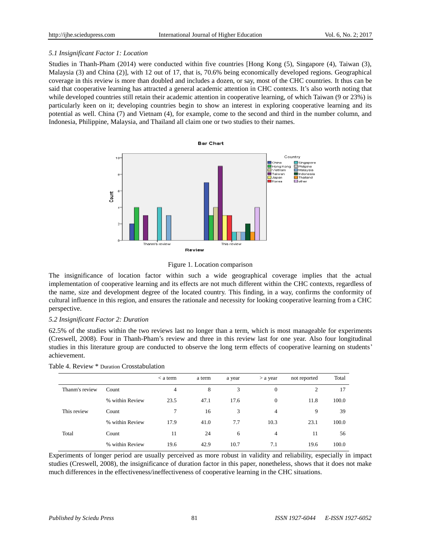# *5.1 Insignificant Factor 1: Location*

Studies in Thanh-Pham (2014) were conducted within five countries [Hong Kong (5), Singapore (4), Taiwan (3), Malaysia (3) and China (2)], with 12 out of 17, that is, 70.6% being economically developed regions. Geographical coverage in this review is more than doubled and includes a dozen, or say, most of the CHC countries. It thus can be said that cooperative learning has attracted a general academic attention in CHC contexts. It's also worth noting that while developed countries still retain their academic attention in cooperative learning, of which Taiwan (9 or 23%) is particularly keen on it; developing countries begin to show an interest in exploring cooperative learning and its potential as well. China (7) and Vietnam (4), for example, come to the second and third in the number column, and Indonesia, Philippine, Malaysia, and Thailand all claim one or two studies to their names.





The insignificance of location factor within such a wide geographical coverage implies that the actual implementation of cooperative learning and its effects are not much different within the CHC contexts, regardless of the name, size and development degree of the located country. This finding, in a way, confirms the conformity of cultural influence in this region, and ensures the rationale and necessity for looking cooperative learning from a CHC perspective.

# *5.2 Insignificant Factor 2: Duration*

62.5% of the studies within the two reviews last no longer than a term, which is most manageable for experiments (Creswell, 2008). Four in Thanh-Pham's review and three in this review last for one year. Also four longitudinal studies in this literature group are conducted to observe the long term effects of cooperative learning on students' achievement.

|  |  | Table 4. Review * Duration Crosstabulation |
|--|--|--------------------------------------------|
|--|--|--------------------------------------------|

|                |                 | $<$ a term | a term | a year | $> a$ year   | not reported | Total |
|----------------|-----------------|------------|--------|--------|--------------|--------------|-------|
| Thanm's review | Count           | 4          | 8      | 3      | $\mathbf{0}$ | 2            | 17    |
|                | % within Review | 23.5       | 47.1   | 17.6   | $\mathbf{0}$ | 11.8         | 100.0 |
| This review    | Count           | 7          | 16     | 3      | 4            | 9            | 39    |
|                | % within Review | 17.9       | 41.0   | 7.7    | 10.3         | 23.1         | 100.0 |
| Total          | Count           | 11         | 24     | 6      | 4            | 11           | 56    |
|                | % within Review | 19.6       | 42.9   | 10.7   | 7.1          | 19.6         | 100.0 |

Experiments of longer period are usually perceived as more robust in validity and reliability, especially in impact studies (Creswell, 2008), the insignificance of duration factor in this paper, nonetheless, shows that it does not make much differences in the effectiveness/ineffectiveness of cooperative learning in the CHC situations.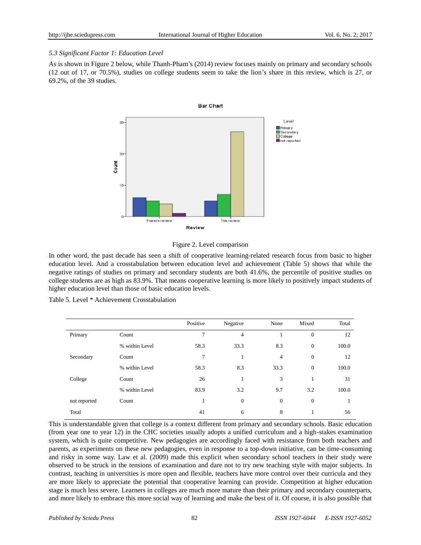#### *5.3 Significant Factor 1: Education Level*

As is shown in Figure 2 below, while Thanh-Pham's (2014) review focuses mainly on primary and secondary schools (12 out of 17, or 70.5%), studies on college students seem to take the lion's share in this review, which is 27, or 69.2%, of the 39 studies.



Figure 2. Level comparison

In other word, the past decade has seen a shift of cooperative learning-related research focus from basic to higher education level. And a crosstabulation between education level and achievement (Table 5) shows that while the negative ratings of studies on primary and secondary students are both 41.6%, the percentile of positive studies on college students are as high as 83.9%. That means cooperative learning is more likely to positively impact students of higher education level than those of basic education levels.

Table 5. Level \* Achievement Crosstabulation

|              |                | Positive      | Negative         | None         | Mixed            | Total |
|--------------|----------------|---------------|------------------|--------------|------------------|-------|
| Primary      | Count          | $\mathcal{I}$ | 4                |              | $\boldsymbol{0}$ | 12    |
|              | % within Level | 58.3          | 33.3             | 8.3          | $\boldsymbol{0}$ | 100.0 |
| Secondary    | Count          | 7             |                  | 4            | $\boldsymbol{0}$ | 12    |
|              | % within Level | 58.3          | 8.3              | 33.3         | $\mathbf{0}$     | 100.0 |
| College      | Count          | 26            |                  | 3            |                  | 31    |
|              | % within Level | 83.9          | 3.2              | 9.7          | 3.2              | 100.0 |
| not reported | Count          |               | $\boldsymbol{0}$ | $\mathbf{0}$ | $\boldsymbol{0}$ |       |
| Total        |                | 41            | 6                | 8            |                  | 56    |

This is understandable given that college is a context different from primary and secondary schools. Basic education (from year one to year 12) in the CHC societies usually adopts a unified curriculum and a high-stakes examination system, which is quite competitive. New pedagogies are accordingly faced with resistance from both teachers and parents, as experiments on these new pedagogies, even in response to a top-down initiative, can be time-consuming and risky in some way. Law et al. (2009) made this explicit when secondary school teachers in their study were observed to be struck in the tensions of examination and dare not to try new teaching style with major subjects. In contrast, teaching in universities is more open and flexible, teachers have more control over their curricula and they are more likely to appreciate the potential that cooperative learning can provide. Competition at higher education stage is much less severe. Learners in colleges are much more mature than their primary and secondary counterparts, and more likely to embrace this more social way of learning and make the best of it. Of course, it is also possible that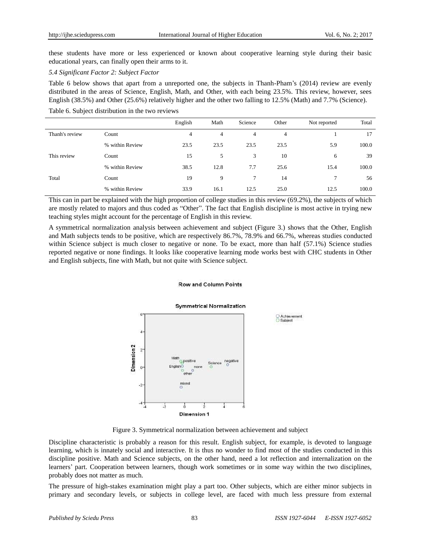these students have more or less experienced or known about cooperative learning style during their basic educational years, can finally open their arms to it.

#### *5.4 Significant Factor 2: Subject Factor*

Table 6 below shows that apart from a unreported one, the subjects in Thanh-Pham's (2014) review are evenly distributed in the areas of Science, English, Math, and Other, with each being 23.5%. This review, however, sees English (38.5%) and Other (25.6%) relatively higher and the other two falling to 12.5% (Math) and 7.7% (Science).

Table 6. Subject distribution in the two reviews

|                |                 | English | Math | Science | Other          | Not reported | Total |
|----------------|-----------------|---------|------|---------|----------------|--------------|-------|
| Thanh's review | Count           | 4       | 4    | 4       | $\overline{4}$ |              | 17    |
|                | % within Review | 23.5    | 23.5 | 23.5    | 23.5           | 5.9          | 100.0 |
| This review    | Count           | 15      | 5.   | 3       | 10             | 6            | 39    |
|                | % within Review | 38.5    | 12.8 | 7.7     | 25.6           | 15.4         | 100.0 |
| Total          | Count           | 19      | 9    | 7       | 14             |              | 56    |
|                | % within Review | 33.9    | 16.1 | 12.5    | 25.0           | 12.5         | 100.0 |

This can in part be explained with the high proportion of college studies in this review (69.2%), the subjects of which are mostly related to majors and thus coded as "Other". The fact that English discipline is most active in trying new teaching styles might account for the percentage of English in this review.

A symmetrical normalization analysis between achievement and subject (Figure 3.) shows that the Other, English and Math subjects tends to be positive, which are respectively 86.7%, 78.9% and 66.7%, whereas studies conducted within Science subject is much closer to negative or none. To be exact, more than half (57.1%) Science studies reported negative or none findings. It looks like cooperative learning mode works best with CHC students in Other and English subjects, fine with Math, but not quite with Science subject.

#### **Row and Column Points**



Figure 3. Symmetrical normalization between achievement and subject

Discipline characteristic is probably a reason for this result. English subject, for example, is devoted to language learning, which is innately social and interactive. It is thus no wonder to find most of the studies conducted in this discipline positive. Math and Science subjects, on the other hand, need a lot reflection and internalization on the learners' part. Cooperation between learners, though work sometimes or in some way within the two disciplines, probably does not matter as much.

The pressure of high-stakes examination might play a part too. Other subjects, which are either minor subjects in primary and secondary levels, or subjects in college level, are faced with much less pressure from external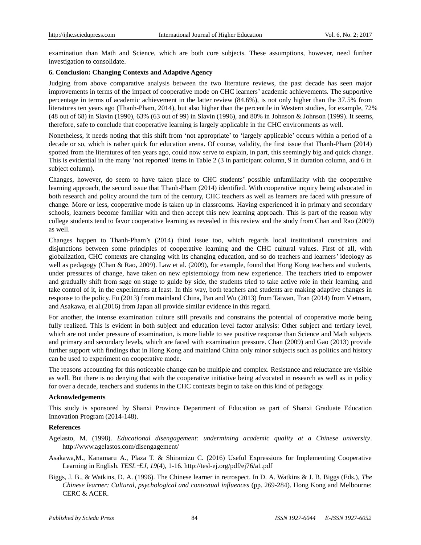examination than Math and Science, which are both core subjects. These assumptions, however, need further investigation to consolidate.

#### **6. Conclusion: Changing Contexts and Adaptive Agency**

Judging from above comparative analysis between the two literature reviews, the past decade has seen major improvements in terms of the impact of cooperative mode on CHC learners' academic achievements. The supportive percentage in terms of academic achievement in the latter review (84.6%), is not only higher than the 37.5% from literatures ten years ago (Thanh-Pham, 2014), but also higher than the percentile in Western studies, for example, 72% (48 out of 68) in Slavin (1990), 63% (63 out of 99) in Slavin (1996), and 80% in Johnson & Johnson (1999). It seems, therefore, safe to conclude that cooperative learning is largely applicable in the CHC environments as well.

Nonetheless, it needs noting that this shift from 'not appropriate' to 'largely applicable' occurs within a period of a decade or so, which is rather quick for education arena. Of course, validity, the first issue that Thanh-Pham (2014) spotted from the literatures of ten years ago, could now serve to explain, in part, this seemingly big and quick change. This is evidential in the many 'not reported' items in Table 2 (3 in participant column, 9 in duration column, and 6 in subject column).

Changes, however, do seem to have taken place to CHC students' possible unfamiliarity with the cooperative learning approach, the second issue that Thanh-Pham (2014) identified. With cooperative inquiry being advocated in both research and policy around the turn of the century, CHC teachers as well as learners are faced with pressure of change. More or less, cooperative mode is taken up in classrooms. Having experienced it in primary and secondary schools, learners become familiar with and then accept this new learning approach. This is part of the reason why college students tend to favor cooperative learning as revealed in this review and the study from Chan and Rao (2009) as well.

Changes happen to Thanh-Pham's (2014) third issue too, which regards local institutional constraints and disjunctions between some principles of cooperative learning and the CHC cultural values. First of all, with globalization, CHC contexts are changing with its changing education, and so do teachers and learners' ideology as well as pedagogy (Chan & Rao, 2009). Law et al. (2009), for example, found that Hong Kong teachers and students, under pressures of change, have taken on new epistemology from new experience. The teachers tried to empower and gradually shift from sage on stage to guide by side, the students tried to take active role in their learning, and take control of it, in the experiments at least. In this way, both teachers and students are making adaptive changes in response to the policy. Fu (2013) from mainland China, Pan and Wu (2013) from Taiwan, Tran (2014) from Vietnam, and Asakawa, et al.(2016) from Japan all provide similar evidence in this regard.

For another, the intense examination culture still prevails and constrains the potential of cooperative mode being fully realized. This is evident in both subject and education level factor analysis: Other subject and tertiary level, which are not under pressure of examination, is more liable to see positive response than Science and Math subjects and primary and secondary levels, which are faced with examination pressure. Chan (2009) and Gao (2013) provide further support with findings that in Hong Kong and mainland China only minor subjects such as politics and history can be used to experiment on cooperative mode.

The reasons accounting for this noticeable change can be multiple and complex. Resistance and reluctance are visible as well. But there is no denying that with the cooperative initiative being advocated in research as well as in policy for over a decade, teachers and students in the CHC contexts begin to take on this kind of pedagogy.

#### **Acknowledgements**

This study is sponsored by Shanxi Province Department of Education as part of Shanxi Graduate Education Innovation Program (2014-148).

#### **References**

- Agelasto, M. (1998). *Educational disengagement: undermining academic quality at a Chinese university*. <http://www.agelastos.com/disengagement/>
- Asakawa,M., Kanamaru A., Plaza T. & Shiramizu C. (2016) Useful Expressions for Implementing Cooperative Learning in English. *TESL*-*EJ, 19*(4), 1-16. http://tesl-ej.org/pdf/ej76/a1.pdf
- Biggs, J. B., & Watkins, D. A. (1996). The Chinese learner in retrospect. In D. A. Watkins & J. B. Biggs (Eds.), *The Chinese learner: Cultural, psychological and contextual influences* (pp. 269-284). Hong Kong and Melbourne: CERC & ACER.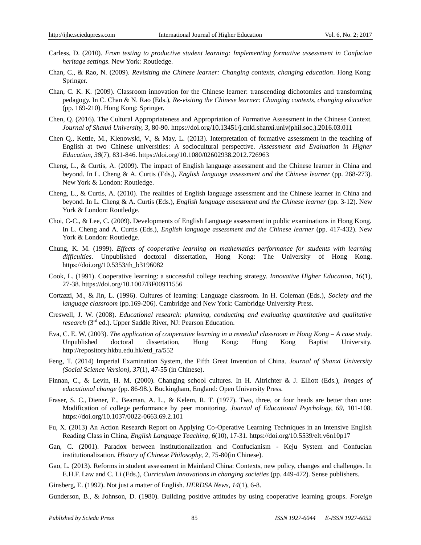- Carless, D. (2010). *From testing to productive student learning: Implementing formative assessment in Confucian heritage settings*. New York: Routledge.
- Chan, C., & Rao, N. (2009). *Revisiting the Chinese learner: Changing contexts, changing education*. Hong Kong: Springer.
- Chan, C. K. K. (2009). Classroom innovation for the Chinese learner: transcending dichotomies and transforming pedagogy. In C. Chan & N. Rao (Eds.), *Re-visiting the Chinese learner: Changing contexts, changing education*  (pp. 169-210). Hong Kong: Springer.
- Chen, Q. (2016). The Cultural Appropriateness and Appropriation of Formative Assessment in the Chinese Context. *Journal of Shanxi University, 3*, 80-90. https://doi.org[/10.13451/j.cnki.shanxi.univ\(phil.soc.\).2016.03.011](http://dx.chinadoi.cn/10.13451%2fj.cnki.shanxi.univ(phil.soc.).2016.03.011)
- Chen Q., Kettle, M., Klenowski, V., & May, L. (2013). Interpretation of formative assessment in the teaching of English at two Chinese universities: A sociocultural perspective. *Assessment and Evaluation in Higher Education, 38*(7), 831-846. <https://doi.org/10.1080/02602938.2012.726963>
- Cheng, L., & Curtis, A. (2009). The impact of English language assessment and the Chinese learner in China and beyond. In L. Cheng & A. Curtis (Eds.), *English language assessment and the Chinese learner* (pp. 268-273). New York & London: Routledge.
- Cheng, L., & Curtis, A. (2010). The realities of English language assessment and the Chinese learner in China and beyond. In L. Cheng & A. Curtis (Eds.), *English language assessment and the Chinese learner* (pp. 3-12). New York & London: Routledge.
- Choi, C-C., & Lee, C. (2009). Developments of English Language assessment in public examinations in Hong Kong. In L. Cheng and A. Curtis (Eds.), *English language assessment and the Chinese learner* (pp. 417-432). New York & London: Routledge.
- Chung, K. M. (1999). *Effects of cooperative learning on mathematics performance for students with learning difficulties*. Unpublished doctoral dissertation, Hong Kong: The University of Hong Kong. [https://doi.org/10.5353/th\\_b3196082](https://doi.org/10.5353/th_b3196082)
- Cook, L. (1991). Cooperative learning: a successful college teaching strategy. *Innovative Higher Education, 16*(1), 27-38. <https://doi.org/10.1007/BF00911556>
- Cortazzi, M., & Jin, L. (1996). Cultures of learning: Language classroom. In H. Coleman (Eds.), *Society and the language classroom* (pp.169-206). Cambridge and New York: Cambridge University Press.
- Creswell, J. W. (2008). *Educational research: planning, conducting and evaluating quantitative and qualitative research* (3<sup>rd</sup> ed.). Upper Saddle River, NJ: Pearson Education.
- Eva, C. E. W. (2003). *The application of cooperative learning in a remedial classroom in Hong Kong – A case study*. Unpublished doctoral dissertation, Hong Kong: Hong Kong Baptist University. http://repository.hkbu.edu.hk/etd\_ra/552
- Feng, T. (2014) Imperial Examination System, the Fifth Great Invention of China. *Journal of Shanxi University (Social Science Version)*, *37*(1), 47-55 (in Chinese).
- Finnan, C., & Levin, H. M. (2000). Changing school cultures. In H. Altrichter & J. Elliott (Eds.), *Images of educational change* (pp. 86-98.). Buckingham, England: Open University Press.
- Fraser, S. C., Diener, E., Beaman, A. L., & Kelem, R. T. (1977). Two, three, or four heads are better than one: Modification of college performance by peer monitoring. *Journal of Educational Psychology, 69*, 101-108. <https://doi.org/10.1037/0022-0663.69.2.101>
- Fu, X. (2013) An Action Research Report on Applying Co-Operative Learning Techniques in an Intensive English Reading Class in China, *English Language Teaching, 6*(10), 17-31.<https://doi.org/10.5539/elt.v6n10p17>
- Gan, C. (2001). Paradox between institutionalization and Confucianism Keju System and Confucian institutionalization. *History of Chinese Philosophy, 2*, 75-80(in Chinese).
- Gao, L. (2013). Reforms in student assessment in Mainland China: Contexts, new policy, changes and challenges. In E.H.F. Law and C. Li (Eds.), *Curriculum innovations in changing societies* (pp. 449-472). Sense publishers.
- Ginsberg, E. (1992). Not just a matter of English. *HERDSA News, 14*(1), 6-8.

Gunderson, B., & Johnson, D. (1980). Building positive attitudes by using cooperative learning groups. *Foreign*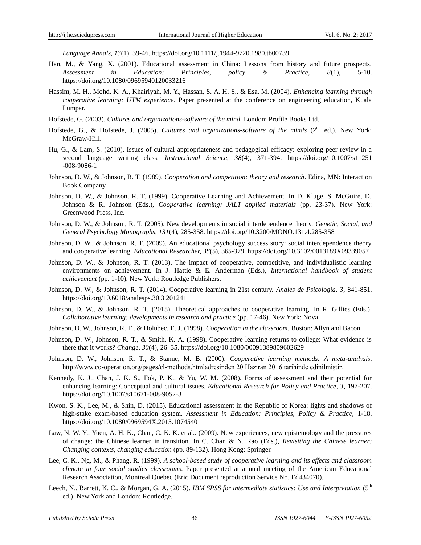*Language Annals, 13*(1), 39-46.<https://doi.org/10.1111/j.1944-9720.1980.tb00739>

- Han, M., & Yang, X. (2001). Educational assessment in China: Lessons from history and future prospects. *Assessment in Education: Principles, policy & Practice, 8*(1), 5-10. <https://doi.org/10.1080/09695940120033216>
- Hassim, M. H., Mohd, K. A., Khairiyah, M. Y., Hassan, S. A. H. S., & Esa, M. (2004). *Enhancing learning through cooperative learning: UTM experience*. Paper presented at the conference on engineering education, Kuala Lumpar.
- Hofstede, G. (2003). *Cultures and organizations-software of the mind*. London: Profile Books Ltd.
- Hofstede, G., & Hofstede, J. (2005). *Cultures and organizations-software of the minds* (2<sup>nd</sup> ed.). New York: McGraw-Hill.
- Hu, G., & Lam, S. (2010). Issues of cultural appropriateness and pedagogical efficacy: exploring peer review in a second language writing class. *Instructional Science, 38*(4), 371-394. [https://doi.org/10.1007/s11251](https://doi.org/10.1007/s11251%20-008-9086-1)  [-008-9086-1](https://doi.org/10.1007/s11251%20-008-9086-1)
- Johnson, D. W., & Johnson, R. T. (1989). *Cooperation and competition: theory and research*. Edina, MN: Interaction Book Company.
- Johnson, D. W., & Johnson, R. T. (1999). Cooperative Learning and Achievement. In D. Kluge, S. McGuire, D. Johnson & R. Johnson (Eds.), *Cooperative learning: JALT applied materials* (pp. 23-37). New York: Greenwood Press, Inc.
- Johnson, D. W., & Johnson, R. T. (2005). New developments in social interdependence theory. *Genetic, Social, and General Psychology Monographs, 131*(4), 285-358. <https://doi.org/10.3200/MONO.131.4.285-358>
- Johnson, D. W., & Johnson, R. T. (2009). An educational psychology success story: social interdependence theory and cooperative learning. *Educational Researcher, 38*(5), 365-379.<https://doi.org/10.3102/0013189X09339057>
- Johnson, D. W., & Johnson, R. T. (2013). The impact of cooperative, competitive, and individualistic learning environments on achievement. In J. Hattie & E. Anderman (Eds.), *International handbook of student achievement* (pp. 1-10). New York: Routledge Publishers.
- Johnson, D. W., & Johnson, R. T. (2014). Cooperative learning in 21st century. *Anales de Psicología, 3*, 841-851. <https://doi.org/10.6018/analesps.30.3.201241>
- Johnson, D. W., & Johnson, R. T. (2015). Theoretical approaches to cooperative learning. In R. Gillies (Eds.), *Collaborative learning: developments in research and practice* (pp. 17-46). New York: Nova.
- Johnson, D. W., Johnson, R. T., & Holubec, E. J. (1998). *Cooperation in the classroom*. Boston: Allyn and Bacon.
- Johnson, D. W., Johnson, R. T., & Smith, K. A. (1998). Cooperative learning returns to college: What evidence is there that it works? *Change, 30*(4), 26–35.<https://doi.org/10.1080/00091389809602629>
- Johnson, D. W., Johnson, R. T., & Stanne, M. B. (2000). *Cooperative learning methods: A meta-analysis*. http://www.co-operation.org/pages/cl-methods.htmladresinden 20 Haziran 2016 tarihinde edinilmiştir.
- Kennedy, K. J., Chan, J. K. S., Fok, P. K., & Yu, W. M. (2008). Forms of assessment and their potential for enhancing learning: Conceptual and cultural issues. *Educational Research for Policy and Practice, 3*, 197-207. <https://doi.org/10.1007/s10671-008-9052-3>
- Kwon, S. K., Lee, M., & Shin, D. (2015). Educational assessment in the Republic of Korea: lights and shadows of high-stake exam-based education system. *[Assessment in Education: Principles, Policy & Practice,](javascript:__doLinkPostBack()* 1-18. <https://doi.org/10.1080/0969594X.2015.1074540>
- Law, N. W. Y., Yuen, A. H. K., Chan, C. K. K. et al.. (2009). New experiences, new epistemology and the pressures of change: the Chinese learner in transition. In C. Chan & N. Rao (Eds.), *Revisiting the Chinese learner: Changing contexts, changing education* (pp. 89-132). Hong Kong: Springer.
- Lee, C. K., Ng, M., & Phang, R. (1999). *A school-based study of cooperative learning and its effects and classroom climate in four social studies classrooms*. Paper presented at annual meeting of the American Educational Research Association, Montreal Quebec (Eric Document reproduction Service No. Ed434070).
- Leech, N., Barrett, K. C., & Morgan, G. A. (2015). *IBM SPSS for intermediate statistics: Use and Interpretation* (5<sup>th</sup> ed.). New York and London: Routledge.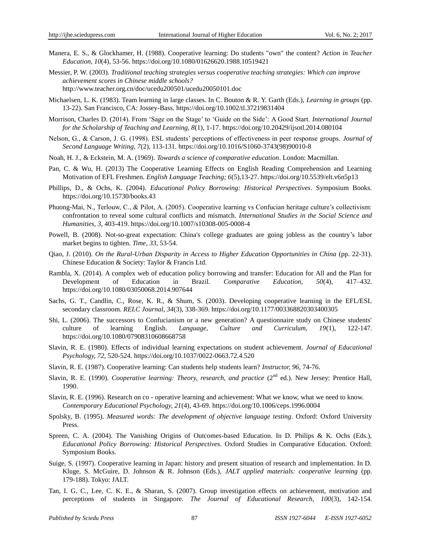- Manera, E. S., & Glockhamer, H. (1988). Cooperative learning: Do students "own" the content? *Action in Teacher Education, 10*(4), 53-56.<https://doi.org/10.1080/01626620.1988.10519421>
- Messier, P. W. (2003). *Traditional teaching strategies versus cooperative teaching strategies: Which can improve achievement scores in Chinese middle schools?*

<http://www.teacher.org.cn/doc/ucedu200501/ucedu20050101.doc>

- Michaelsen, L. K. (1983). Team learning in large classes. In C. Bouton & R. Y. Garth (Eds.), *Learning in groups* (pp. 13-22). San Francisco, CA: Jossey-Bass.<https://doi.org/10.1002/tl.37219831404>
- Morrison, Charles D. (2014). From 'Sage on the Stage' to 'Guide on the Side': A Good Start. *International Journal for the Scholarship of Teaching and Learning, 8*(1), 1-17. <https://doi.org/10.20429/ijsotl.2014.080104>
- Nelson, G., & Carson, J. G. (1998). ESL students' perceptions of effectiveness in peer response groups. *Journal of Second Language Writing, 7*(2), 113-131[. https://doi.org/10.1016/S1060-3743\(98\)90010-8](https://doi.org/10.1016/S1060-3743(98)90010-8)
- Noah, H. J., & Eckstein, M. A. (1969). *Towards a science of comparative education*. London: Macmillan.
- Pan, C. & Wu, H. (2013) The Cooperative Learning Effects on English Reading Comprehension and Learning Motivation of EFL Freshmen. *English Language Teaching; 6*(5),13-27.<https://doi.org/10.5539/elt.v6n5p13>
- Phillips, D., & Ochs, K. (2004). *Educational Policy Borrowing: Historical Perspectives*. Symposium Books. <https://doi.org/10.15730/books.43>
- Phuong-Mai, N., Terlouw, C., & Pilot, A. (2005). Cooperative learning vs Confucian heritage culture's collectivism: confrontation to reveal some cultural conflicts and mismatch. *International Studies in the Social Science and Humanities, 3*, 403-419.<https://doi.org/10.1007/s10308-005-0008-4>
- Powell, B. (2008). Not-so-great expectation: China's college graduates are going jobless as the country's labor market begins to tighten. *Time, 33*, 53-54.
- Qiao, J. (2010). *On the Rural-Urban Disparity in Access to Higher Education Opportunities in China* (pp. 22-31). Chinese Education & Society: Taylor & Francis Ltd.
- Rambla, X. (2014). A complex web of education policy borrowing and transfer: Education for All and the Plan for Development of Education in Brazil. *Comparative Education, 50*(4), 417–432. <https://doi.org/10.1080/03050068.2014.907644>
- Sachs, G. T., Candlin, C., Rose, K. R., & Shum, S. (2003). Developing cooperative learning in the EFL/ESL secondary classroom. *RELC Journal, 34*(3), 338-369[. https://doi.org/10.1177/003368820303400305](https://doi.org/10.1177/003368820303400305)
- Shi, L. (2006). The successors to Confucianism or a new generation? A questionnaire study on Chinese students' culture of learning English. *Language, Culture and Curriculum, 19*(1), 122-147. <https://doi.org/10.1080/07908310608668758>
- Slavin, R. E. (1980). Effects of individual learning expectations on student achievement. *Journal of Educational Psychology, 72*, 520-524.<https://doi.org/10.1037/0022-0663.72.4.520>
- Slavin, R. E. (1987). Cooperative learning: Can students help students learn? *Instructor, 96*, 74-76.
- Slavin, R. E. (1990). *Cooperative learning: Theory, research, and practice* (2<sup>nd</sup> ed.). New Jersey: Prentice Hall, 1990.
- Slavin, R. E. (1996). Research on co operative learning and achievement: What we know, what we need to know. *Contemporary Educational Psychology, 21*(4), 43-69[. https://doi.org/10.1006/ceps.1996.0004](https://doi.org/10.1006/ceps.1996.0004)
- Spolsky, B. (1995). *Measured words: The development of objective language testing*. Oxford: Oxford University Press.
- Spreen, C. A. (2004). The Vanishing Origins of Outcomes-based Education. In D. Philips & K. Ochs (Eds.), *Educational Policy Borrowing: Historical Perspectives*. Oxford Studies in Comparative Education. Oxford: Symposium Books.
- Suige, S. (1997). Cooperative learning in Japan: history and present situation of research and implementation. In D. Kluge, S. McGuire, D. Johnson & R. Johnson (Eds.), *JALT applied materials: cooperative learning* (pp. 179-188). Tokyo: JALT.
- Tan, I. G. C., Lee, C. K. E., & Sharan, S. (2007). Group investigation effects on achievement, motivation and perceptions of students in Singapore. *The Journal of Educational Research, 100*(3), 142-154.